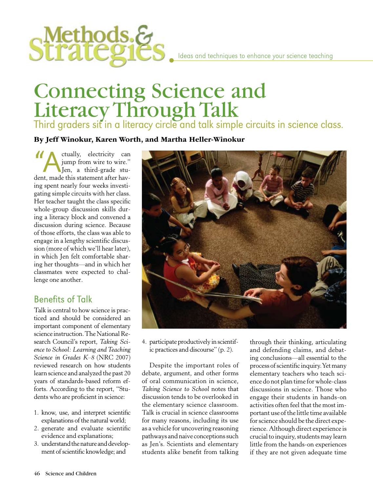

# Connecting Science and Literacy Through Talk

Third graders sit in a literacy circle and talk simple circuits in science class.

By Jeff Winokur, Karen Worth, and Martha Heller-Winokur

"A ctually, electricity can<br>"A jump from wire to wire."<br>Alen, a third-grade student made this statement after have jump from wire to wire." Jen, a third-grade student, made this statement after having spent nearly four weeks investigating simple circuits with her class. Her teacher taught the class specific whole-group discussion skills during a literacy block and convened a discussion during science. Because of those efforts, the class was able to engage in a lengthy scientific discussion (more of which we'll hear later), in which Jen felt comfortable sharing her thoughts—and in which her classmates were expected to challenge one another.

## Benefits of Talk

Talk is central to how science is practiced and should be considered an important component of elementary science instruction. The National Research Council's report, *Taking Science to School: Learning and Teaching Science in Grades K–8* (NRC 2007) reviewed research on how students learn science and analyzed the past 20 years of standards-based reform efforts. According to the report, "Students who are proficient in science:

- 1. know, use, and interpret scientific explanations of the natural world;
- 2. generate and evaluate scientific evidence and explanations;
- 3. understand the nature and development of scientific knowledge; and



4. participate productively in scientific practices and discourse" (p. 2).

Despite the important roles of debate, argument, and other forms of oral communication in science, *Taking Science to School* notes that discussion tends to be overlooked in the elementary science classroom. Talk is crucial in science classrooms for many reasons, including its use as a vehicle for uncovering reasoning pathways and naive conceptions such as Jen's. Scientists and elementary students alike benefit from talking through their thinking, articulating and defending claims, and debating conclusions—all essential to the process of scientific inquiry. Yet many elementary teachers who teach science do not plan time for whole-class discussions in science. Those who engage their students in hands-on activities often feel that the most important use of the little time available for science should be the direct experience. Although direct experience is crucial to inquiry, students may learn little from the hands-on experiences if they are not given adequate time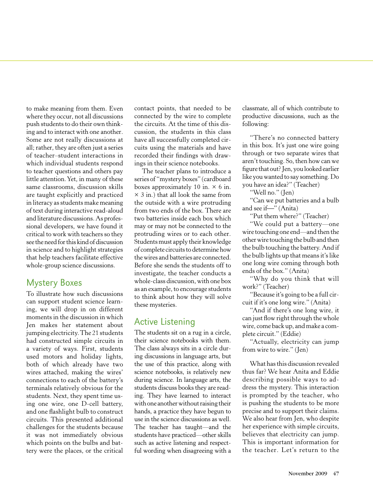to make meaning from them. Even where they occur, not all discussions push students to do their own thinking and to interact with one another. Some are not really discussions at all; rather, they are often just a series of teacher–student interactions in which individual students respond to teacher questions and others pay little attention. Yet, in many of these same classrooms, discussion skills are taught explicitly and practiced in literacy as students make meaning of text during interactive read-aloud and literature discussions. As professional developers, we have found it critical to work with teachers so they see the need for this kind of discussion in science and to highlight strategies that help teachers facilitate effective whole-group science discussions.

## Mystery Boxes

To illustrate how such discussions can support student science learning, we will drop in on different moments in the discussion in which Jen makes her statement about jumping electricity. The 21 students had constructed simple circuits in a variety of ways. First, students used motors and holiday lights, both of which already have two wires attached, making the wires' connections to each of the battery's terminals relatively obvious for the students. Next, they spent time using one wire, one D-cell battery, and one flashlight bulb to construct circuits. This presented additional challenges for the students because it was not immediately obvious which points on the bulbs and battery were the places, or the critical

contact points, that needed to be connected by the wire to complete the circuits. At the time of this discussion, the students in this class have all successfully completed circuits using the materials and have recorded their findings with drawings in their science notebooks.

The teacher plans to introduce a series of "mystery boxes" (cardboard boxes approximately 10 in.  $\times$  6 in.  $\times$  3 in.) that all look the same from the outside with a wire protruding from two ends of the box. There are two batteries inside each box which may or may not be connected to the protruding wires or to each other. Students must apply their knowledge of complete circuits to determine how the wires and batteries are connected. Before she sends the students off to investigate, the teacher conducts a whole-class discussion, with one box as an example, to encourage students to think about how they will solve these mysteries.

## Active Listening

The students sit on a rug in a circle, their science notebooks with them. The class always sits in a circle during discussions in language arts, but the use of this practice, along with science notebooks, is relatively new during science. In language arts, the students discuss books they are reading. They have learned to interact with one another without raising their hands, a practice they have begun to use in the science discussions as well. The teacher has taught—and the students have practiced—other skills such as active listening and respectful wording when disagreeing with a

classmate, all of which contribute to productive discussions, such as the following:

"There's no connected battery in this box. It's just one wire going through or two separate wires that aren't touching. So, then how can we figure that out? Jen, you looked earlier like you wanted to say something. Do you have an idea?" (Teacher)

"Well no." (Jen)

"Can we put batteries and a bulb and see if-" (Anita)

"Put them where?" (Teacher)

"We could put a battery—one wire touching one end—and then the other wire touching the bulb and then the bulb touching the battery. And if the bulb lights up that means it's like one long wire coming through both ends of the box." (Anita)

"Why do you think that will work?" (Teacher)

"Because it's going to be a full circuit if it's one long wire." (Anita)

"And if there's one long wire, it can just flow right through the whole wire, come back up, and make a complete circuit." (Eddie)

"Actually, electricity can jump from wire to wire." (Jen)

What has this discussion revealed thus far? We hear Anita and Eddie describing possible ways to address the mystery. This interaction is prompted by the teacher, who is pushing the students to be more precise and to support their claims. We also hear from Jen, who despite her experience with simple circuits, believes that electricity can jump. This is important information for the teacher. Let's return to the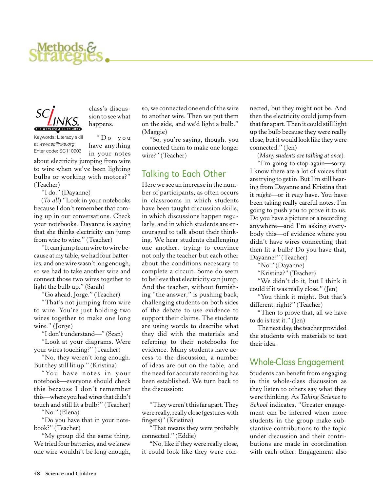



sion to see what happens.

Keywords: Literacy skill at *www.scilinks.org* Enter code: SC110903

" D o y o u have anything in your notes

class's discus-

about electricity jumping from wire to wire when we've been lighting bulbs or working with motors?" (Teacher)

"I do." (Dayanne)

(*To all*) "Look in your notebooks because I don't remember that coming up in our conversations. Check your notebooks. Dayanne is saying that she thinks electricity can jump from wire to wire." (Teacher)

"It can jump from wire to wire because at my table, we had four batteries, and one wire wasn't long enough, so we had to take another wire and connect those two wires together to light the bulb up." (Sarah)

"Go ahead, Jorge." (Teacher)

"That's not jumping from wire to wire. You're just holding two wires together to make one long wire." (Jorge)

"I don't understand-" (Sean)

"Look at your diagrams. Were your wires touching?" (Teacher)

"No, they weren't long enough. But they still lit up." (Kristina)

"You have notes in your notebook—everyone should check this because I don't remember this—where you had wires that didn't touch and still lit a bulb?" (Teacher)

"No." (Elena)

"Do you have that in your notebook?" (Teacher)

"My group did the same thing. We tried four batteries, and we knew one wire wouldn't be long enough,

so, we connected one end of the wire to another wire. Then we put them on the side, and we'd light a bulb." (Maggie)

"So, you're saying, though, you connected them to make one longer wire?" (Teacher)

## Talking to Each Other

Here we see an increase in the number of participants, as often occurs in classrooms in which students have been taught discussion skills, in which discussions happen regularly, and in which students are encouraged to talk about their thinking. We hear students challenging one another, trying to convince not only the teacher but each other about the conditions necessary to complete a circuit. Some do seem to believe that electricity can jump. And the teacher, without furnishing "the answer," is pushing back, challenging students on both sides of the debate to use evidence to support their claims. The students are using words to describe what they did with the materials and referring to their notebooks for evidence. Many students have access to the discussion, a number of ideas are out on the table, and the need for accurate recording has been established. We turn back to the discussion:

"They weren't this far apart. They were really, really close (gestures with fingers)" (Kristina)

"That means they were probably connected." (Eddie)

**"**No, like if they were really close, it could look like they were connected, but they might not be. And then the electricity could jump from that far apart. Then it could still light up the bulb because they were really close, but it would look like they were connected." (Jen)

(*Many students are talking at once*).

"I'm going to stop again—sorry. I know there are a lot of voices that are trying to get in. But I'm still hearing from Dayanne and Kristina that it *might*—or it *may* have. You have been taking really careful notes. I'm going to push you to prove it to us. Do you have a picture or a recording anywhere—and I'm asking everybody this—of evidence where you didn't have wires connecting that then lit a bulb? Do you have that, Dayanne?" (Teacher)

"No." (Dayanne)

"Kristina?" (Teacher)

"We didn't do it, but I think it could if it was really close." (Jen)

"You think it might. But that's different, right?" (Teacher)

**"**Then to prove that, all we have to do is test it." (Jen)

The next day, the teacher provided the students with materials to test their idea.

## Whole-Class Engagement

Students can benefit from engaging in this whole-class discussion as they listen to others say what they were thinking. As *Taking Science to School* indicates, "Greater engagement can be inferred when more students in the group make substantive contributions to the topic under discussion and their contributions are made in coordination with each other. Engagement also